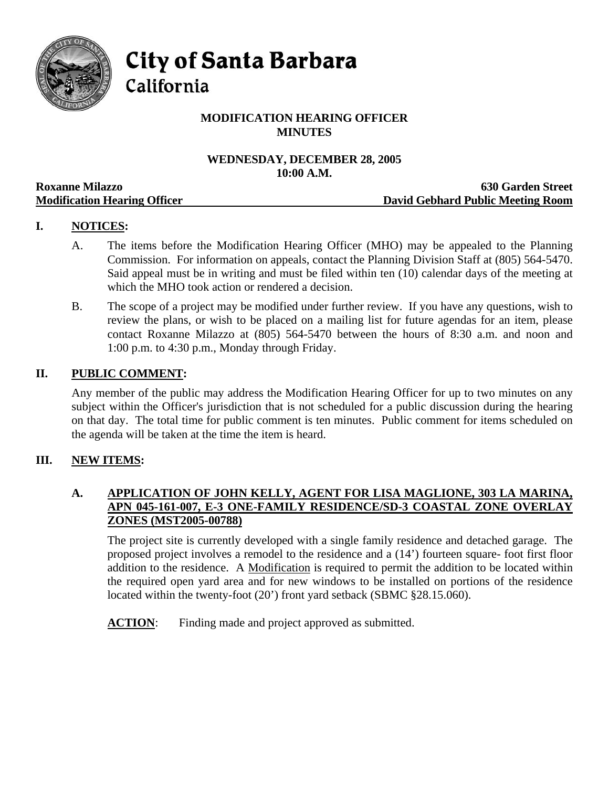

**City of Santa Barbara** 

California

# **MODIFICATION HEARING OFFICER MINUTES**

## **WEDNESDAY, DECEMBER 28, 2005 10:00 A.M.**

|                                     | TANDA TIMAN                       |
|-------------------------------------|-----------------------------------|
| <b>Roxanne Milazzo</b>              | <b>630 Garden Street</b>          |
| <b>Modification Hearing Officer</b> | David Gebhard Public Meeting Room |

## **I. NOTICES:**

- A. The items before the Modification Hearing Officer (MHO) may be appealed to the Planning Commission. For information on appeals, contact the Planning Division Staff at (805) 564-5470. Said appeal must be in writing and must be filed within ten (10) calendar days of the meeting at which the MHO took action or rendered a decision.
- B. The scope of a project may be modified under further review. If you have any questions, wish to review the plans, or wish to be placed on a mailing list for future agendas for an item, please contact Roxanne Milazzo at (805) 564-5470 between the hours of 8:30 a.m. and noon and 1:00 p.m. to 4:30 p.m., Monday through Friday.

## **II. PUBLIC COMMENT:**

Any member of the public may address the Modification Hearing Officer for up to two minutes on any subject within the Officer's jurisdiction that is not scheduled for a public discussion during the hearing on that day. The total time for public comment is ten minutes. Public comment for items scheduled on the agenda will be taken at the time the item is heard.

## **III. NEW ITEMS:**

## **A. APPLICATION OF JOHN KELLY, AGENT FOR LISA MAGLIONE, 303 LA MARINA, APN 045-161-007, E-3 ONE-FAMILY RESIDENCE/SD-3 COASTAL ZONE OVERLAY ZONES (MST2005-00788)**

The project site is currently developed with a single family residence and detached garage. The proposed project involves a remodel to the residence and a (14') fourteen square- foot first floor addition to the residence. A Modification is required to permit the addition to be located within the required open yard area and for new windows to be installed on portions of the residence located within the twenty-foot (20') front yard setback (SBMC §28.15.060).

**ACTION:** Finding made and project approved as submitted.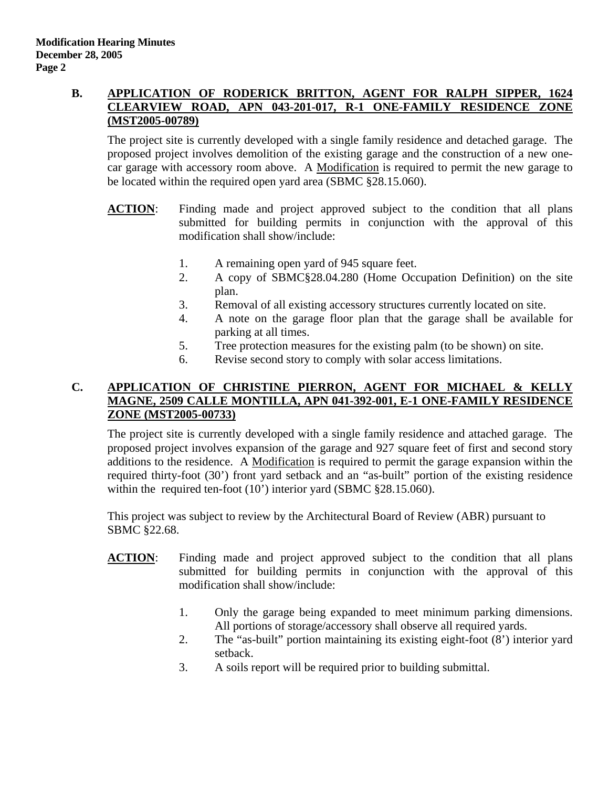#### **B. APPLICATION OF RODERICK BRITTON, AGENT FOR RALPH SIPPER, 1624 CLEARVIEW ROAD, APN 043-201-017, R-1 ONE-FAMILY RESIDENCE ZONE (MST2005-00789)**

The project site is currently developed with a single family residence and detached garage. The proposed project involves demolition of the existing garage and the construction of a new onecar garage with accessory room above. A Modification is required to permit the new garage to be located within the required open yard area (SBMC §28.15.060).

- **ACTION**: Finding made and project approved subject to the condition that all plans submitted for building permits in conjunction with the approval of this modification shall show/include:
	- 1. A remaining open yard of 945 square feet.
	- 2. A copy of SBMC§28.04.280 (Home Occupation Definition) on the site plan.
	- 3. Removal of all existing accessory structures currently located on site.
	- 4. A note on the garage floor plan that the garage shall be available for parking at all times.
	- 5. Tree protection measures for the existing palm (to be shown) on site.
	- 6. Revise second story to comply with solar access limitations.

#### **C. APPLICATION OF CHRISTINE PIERRON, AGENT FOR MICHAEL & KELLY MAGNE, 2509 CALLE MONTILLA, APN 041-392-001, E-1 ONE-FAMILY RESIDENCE ZONE (MST2005-00733)**

The project site is currently developed with a single family residence and attached garage. The proposed project involves expansion of the garage and 927 square feet of first and second story additions to the residence. A Modification is required to permit the garage expansion within the required thirty-foot (30') front yard setback and an "as-built" portion of the existing residence within the required ten-foot (10') interior yard (SBMC §28.15.060).

This project was subject to review by the Architectural Board of Review (ABR) pursuant to SBMC §22.68.

- **ACTION**: Finding made and project approved subject to the condition that all plans submitted for building permits in conjunction with the approval of this modification shall show/include:
	- 1. Only the garage being expanded to meet minimum parking dimensions. All portions of storage/accessory shall observe all required yards.
	- 2. The "as-built" portion maintaining its existing eight-foot (8') interior yard setback.
	- 3. A soils report will be required prior to building submittal.